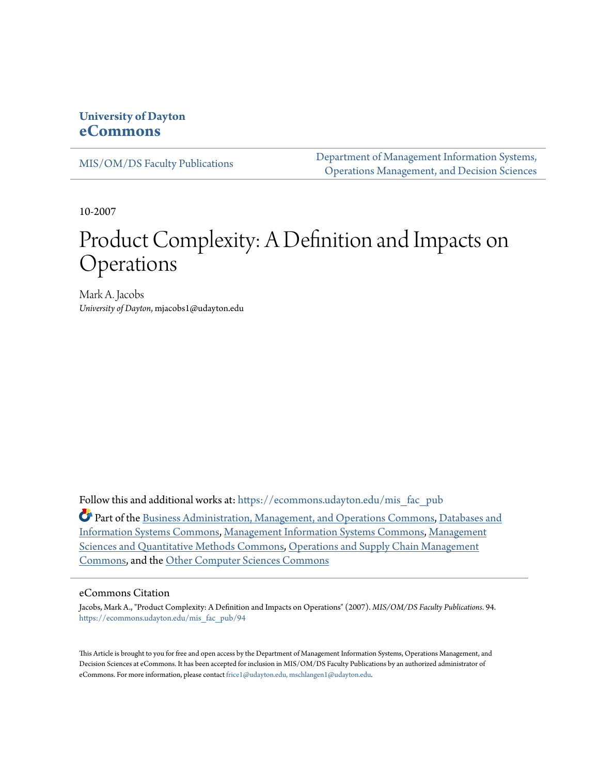## **University of Dayton [eCommons](https://ecommons.udayton.edu?utm_source=ecommons.udayton.edu%2Fmis_fac_pub%2F94&utm_medium=PDF&utm_campaign=PDFCoverPages)**

[MIS/OM/DS Faculty Publications](https://ecommons.udayton.edu/mis_fac_pub?utm_source=ecommons.udayton.edu%2Fmis_fac_pub%2F94&utm_medium=PDF&utm_campaign=PDFCoverPages)

[Department of Management Information Systems,](https://ecommons.udayton.edu/mis?utm_source=ecommons.udayton.edu%2Fmis_fac_pub%2F94&utm_medium=PDF&utm_campaign=PDFCoverPages) [Operations Management, and Decision Sciences](https://ecommons.udayton.edu/mis?utm_source=ecommons.udayton.edu%2Fmis_fac_pub%2F94&utm_medium=PDF&utm_campaign=PDFCoverPages)

10-2007

# Product Complexity: A Definition and Impacts on Operations

Mark A. Jacobs *University of Dayton*, mjacobs1@udayton.edu

Follow this and additional works at: [https://ecommons.udayton.edu/mis\\_fac\\_pub](https://ecommons.udayton.edu/mis_fac_pub?utm_source=ecommons.udayton.edu%2Fmis_fac_pub%2F94&utm_medium=PDF&utm_campaign=PDFCoverPages)

Part of the [Business Administration, Management, and Operations Commons](http://network.bepress.com/hgg/discipline/623?utm_source=ecommons.udayton.edu%2Fmis_fac_pub%2F94&utm_medium=PDF&utm_campaign=PDFCoverPages), [Databases and](http://network.bepress.com/hgg/discipline/145?utm_source=ecommons.udayton.edu%2Fmis_fac_pub%2F94&utm_medium=PDF&utm_campaign=PDFCoverPages) [Information Systems Commons](http://network.bepress.com/hgg/discipline/145?utm_source=ecommons.udayton.edu%2Fmis_fac_pub%2F94&utm_medium=PDF&utm_campaign=PDFCoverPages), [Management Information Systems Commons,](http://network.bepress.com/hgg/discipline/636?utm_source=ecommons.udayton.edu%2Fmis_fac_pub%2F94&utm_medium=PDF&utm_campaign=PDFCoverPages) [Management](http://network.bepress.com/hgg/discipline/637?utm_source=ecommons.udayton.edu%2Fmis_fac_pub%2F94&utm_medium=PDF&utm_campaign=PDFCoverPages) [Sciences and Quantitative Methods Commons](http://network.bepress.com/hgg/discipline/637?utm_source=ecommons.udayton.edu%2Fmis_fac_pub%2F94&utm_medium=PDF&utm_campaign=PDFCoverPages), [Operations and Supply Chain Management](http://network.bepress.com/hgg/discipline/1229?utm_source=ecommons.udayton.edu%2Fmis_fac_pub%2F94&utm_medium=PDF&utm_campaign=PDFCoverPages) [Commons,](http://network.bepress.com/hgg/discipline/1229?utm_source=ecommons.udayton.edu%2Fmis_fac_pub%2F94&utm_medium=PDF&utm_campaign=PDFCoverPages) and the [Other Computer Sciences Commons](http://network.bepress.com/hgg/discipline/152?utm_source=ecommons.udayton.edu%2Fmis_fac_pub%2F94&utm_medium=PDF&utm_campaign=PDFCoverPages)

#### eCommons Citation

Jacobs, Mark A., "Product Complexity: A Definition and Impacts on Operations" (2007). *MIS/OM/DS Faculty Publications*. 94. [https://ecommons.udayton.edu/mis\\_fac\\_pub/94](https://ecommons.udayton.edu/mis_fac_pub/94?utm_source=ecommons.udayton.edu%2Fmis_fac_pub%2F94&utm_medium=PDF&utm_campaign=PDFCoverPages)

This Article is brought to you for free and open access by the Department of Management Information Systems, Operations Management, and Decision Sciences at eCommons. It has been accepted for inclusion in MIS/OM/DS Faculty Publications by an authorized administrator of eCommons. For more information, please contact [frice1@udayton.edu, mschlangen1@udayton.edu](mailto:frice1@udayton.edu,%20mschlangen1@udayton.edu).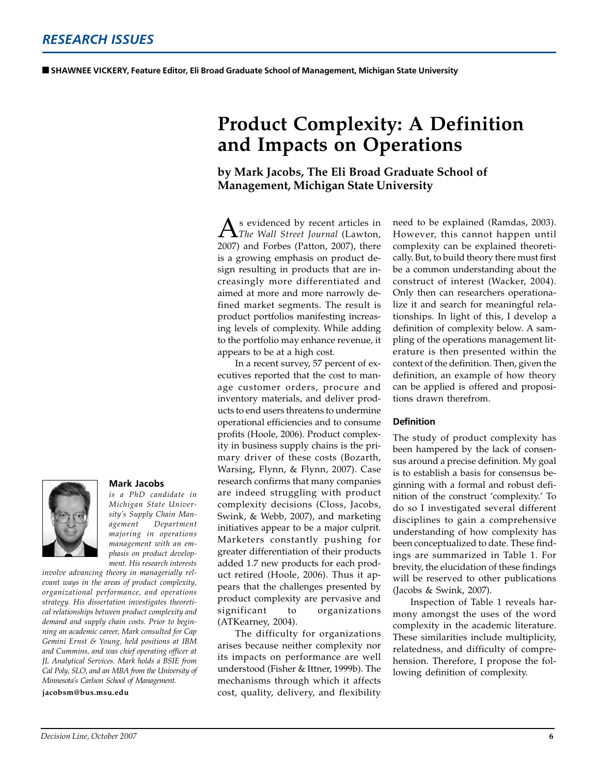# **Product Complexity: A Definition and Impacts on Operations**

### **by Mark Jacobs, The Eli Broad Graduate School of Management, Michigan State University**

s evidenced by recent articles in *The Wall Street Journal* (Lawton, 2007) and Forbes (Patton, 2007), there is a growing emphasis on product design resulting in products that are increasingly more differentiated and aimed at more and more narrowly defined market segments. The result is product portfolios manifesting increasing levels of complexity. While adding to the portfolio may enhance revenue, it appears to be at a high cost.

In a recent survey, 57 percent of executives reported that the cost to manage customer orders, procure and inventory materials, and deliver products to end users threatens to undermine operational efficiencies and to consume profits (Hoole, 2006). Product complexity in business supply chains is the primary driver of these costs (Bozarth, Warsing, Flynn, & Flynn, 2007). Case research confirms that many companies are indeed struggling with product complexity decisions (Closs, Jacobs, Swink, & Webb, 2007), and marketing initiatives appear to be a major culprit. Marketers constantly pushing for greater differentiation of their products added 1.7 new products for each product retired (Hoole, 2006). Thus it appears that the challenges presented by product complexity are pervasive and significant to organizations (ATKearney, 2004).

The difficulty for organizations arises because neither complexity nor its impacts on performance are well understood (Fisher & Ittner, 1999b). The mechanisms through which it affects cost, quality, delivery, and flexibility need to be explained (Ramdas, 2003). However, this cannot happen until complexity can be explained theoretically. But, to build theory there must first be a common understanding about the construct of interest (Wacker, 2004). Only then can researchers operationalize it and search for meaningful relationships. In light of this, I develop a definition of complexity below. A sampling of the operations management literature is then presented within the context of the definition. Then, given the definition, an example of how theory can be applied is offered and propositions drawn therefrom.

#### **Definition**

The study of product complexity has been hampered by the lack of consensus around a precise definition. My goal is to establish a basis for consensus beginning with a formal and robust definition of the construct 'complexity.' To do so I investigated several different disciplines to gain a comprehensive understanding of how complexity has been conceptualized to date. These findings are summarized in Table 1. For brevity, the elucidation of these findings will be reserved to other publications (Jacobs & Swink, 2007).

Inspection of Table 1 reveals harmony amongst the uses of the word complexity in the academic literature. These similarities include multiplicity, relatedness, and difficulty of comprehension. Therefore, I propose the following definition of complexity.



#### **Mark Jacobs**

*is a PhD candidate in Michigan State University's Supply Chain Management Department majoring in operations management with an emphasis on product development. His research interests*

*involve advancing theory in managerially relevant ways in the areas of product complexity, organizational performance, and operations strategy. His dissertation investigates theoretical relationships between product complexity and demand and supply chain costs. Prior to beginning an academic career, Mark consulted for Cap Gemini Ernst & Young, held positions at IBM and Cummins, and was chief operating officer at JL Analytical Services. Mark holds a BSIE from Cal Poly, SLO, and an MBA from the University of Minnesota's Carlson School of Management.*

**jacobsm@bus.msu.edu**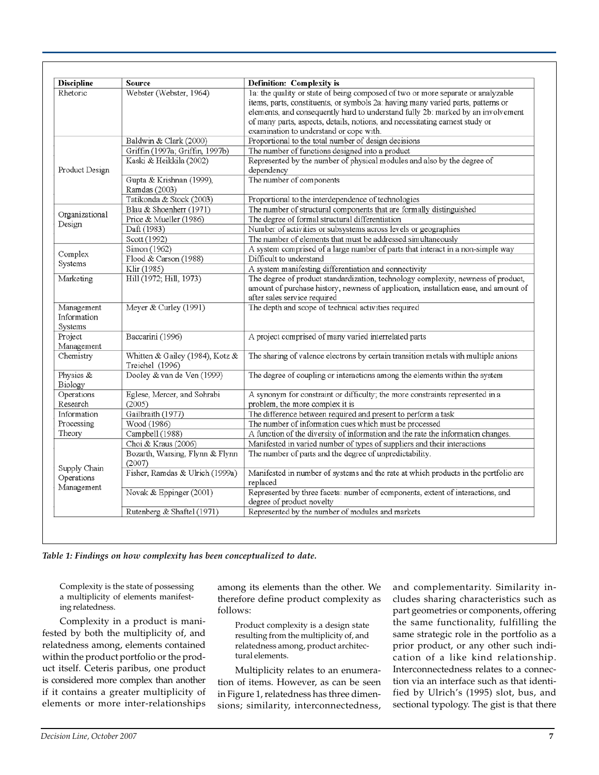| <b>Discipline</b>                        | Source                                             | Definition: Complexity is                                                                                                                                                                                                                                                                                                                                                           |
|------------------------------------------|----------------------------------------------------|-------------------------------------------------------------------------------------------------------------------------------------------------------------------------------------------------------------------------------------------------------------------------------------------------------------------------------------------------------------------------------------|
| Rhetoric                                 | Webster (Webster, 1964)                            | la: the quality or state of being composed of two or more separate or analyzable<br>items, parts, constituents, or symbols 2a: having many varied parts, patterns or<br>elements, and consequently hard to understand fully 2b: marked by an involvement<br>of many parts, aspects, details, notions, and necessitating earnest study or<br>examination to understand or cope with. |
| Product Design                           | Baldwin & Clark (2000)                             | Proportional to the total number of design decisions                                                                                                                                                                                                                                                                                                                                |
|                                          | Griffin (1997a; Griffin, 1997b)                    | The number of functions designed into a product                                                                                                                                                                                                                                                                                                                                     |
|                                          | Kaski & Heikkila (2002)                            | Represented by the number of physical modules and also by the degree of<br>dependency                                                                                                                                                                                                                                                                                               |
|                                          | Gupta & Krishnan (1999),<br>Ramdas (2003)          | The number of components                                                                                                                                                                                                                                                                                                                                                            |
|                                          | Tatikonda & Stock (2003)                           | Proportional to the interdependence of technologies                                                                                                                                                                                                                                                                                                                                 |
| Organizational<br>Design                 | Blau & Shoenherr (1971)                            | The number of structural components that are formally distinguished                                                                                                                                                                                                                                                                                                                 |
|                                          | Price & Mueller (1986)                             | The degree of formal structural differentiation                                                                                                                                                                                                                                                                                                                                     |
|                                          | Daft (1983)                                        | Number of activities or subsystems across levels or geographies                                                                                                                                                                                                                                                                                                                     |
|                                          | Scott (1992)                                       | The number of elements that must be addressed simultaneously                                                                                                                                                                                                                                                                                                                        |
| Complex<br>Systems                       | Simon (1962)                                       | A system comprised of a large number of parts that interact in a non-simple way                                                                                                                                                                                                                                                                                                     |
|                                          | Flood & Carson (1988)                              | Difficult to understand                                                                                                                                                                                                                                                                                                                                                             |
|                                          | Klir (1985)                                        | A system manifesting differentiation and connectivity                                                                                                                                                                                                                                                                                                                               |
| Marketing                                | Hill (1972; Hill, 1973)                            | The degree of product standardization, technology complexity, newness of product,<br>amount of purchase history, newness of application, installation ease, and amount of<br>after sales service required                                                                                                                                                                           |
| Management<br>Information<br>Systems     | Meyer & Curley (1991)                              | The depth and scope of technical activities required                                                                                                                                                                                                                                                                                                                                |
| Project<br>Management                    | Baccarini (1996)                                   | A project comprised of many varied interrelated parts                                                                                                                                                                                                                                                                                                                               |
| Chemistry                                | Whitten & Gailey (1984), Kotz &<br>Treichel (1996) | The sharing of valence electrons by certain transition metals with multiple anions                                                                                                                                                                                                                                                                                                  |
| Physics &<br>Biology                     | Dooley & van de Ven (1999)                         | The degree of coupling or interactions among the elements within the system                                                                                                                                                                                                                                                                                                         |
| Operations<br>Research                   | Eglese, Mercer, and Sohrabi<br>(2005)              | A synonym for constraint or difficulty; the more constraints represented in a<br>problem, the more complex it is                                                                                                                                                                                                                                                                    |
| Information                              | Gailbraith (1977)                                  | The difference between required and present to perform a task                                                                                                                                                                                                                                                                                                                       |
| Processing                               | Wood (1986)                                        | The number of information cues which must be processed                                                                                                                                                                                                                                                                                                                              |
| Theory                                   | Campbell (1988)                                    | A function of the diversity of information and the rate the information changes.                                                                                                                                                                                                                                                                                                    |
| Supply Chain<br>Operations<br>Management | Choi & Kraus (2006)                                | Manifested in varied number of types of suppliers and their interactions                                                                                                                                                                                                                                                                                                            |
|                                          | Bozarth, Warsing, Flynn & Flynn<br>(2007)          | The number of parts and the degree of unpredictability.                                                                                                                                                                                                                                                                                                                             |
|                                          | Fisher, Ramdas & Ulrich (1999a)                    | Manifested in number of systems and the rate at which products in the portfolio are<br>replaced                                                                                                                                                                                                                                                                                     |
|                                          | Novak & Eppinger (2001)                            | Represented by three facets: number of components, extent of interactions, and<br>degree of product novelty                                                                                                                                                                                                                                                                         |
|                                          | Rutenberg & Shaftel (1971)                         | Represented by the number of modules and markets                                                                                                                                                                                                                                                                                                                                    |

*Table 1: Findings on how complexity has been conceptualized to date.*

Complexity is the state of possessing a multiplicity of elements manifesting relatedness.

Complexity in a product is manifested by both the multiplicity of, and relatedness among, elements contained within the product portfolio or the product itself. Ceteris paribus, one product is considered more complex than another if it contains a greater multiplicity of elements or more inter-relationships

among its elements than the other. We therefore define product complexity as follows:

Product complexity is a design state resulting from the multiplicity of, and relatedness among, product architectural elements.

Multiplicity relates to an enumeration of items. However, as can be seen in Figure 1, relatedness has three dimensions; similarity, interconnectedness, and complementarity. Similarity includes sharing characteristics such as part geometries or components, offering the same functionality, fulfilling the same strategic role in the portfolio as a prior product, or any other such indication of a like kind relationship. Interconnectedness relates to a connection via an interface such as that identified by Ulrich's (1995) slot, bus, and sectional typology. The gist is that there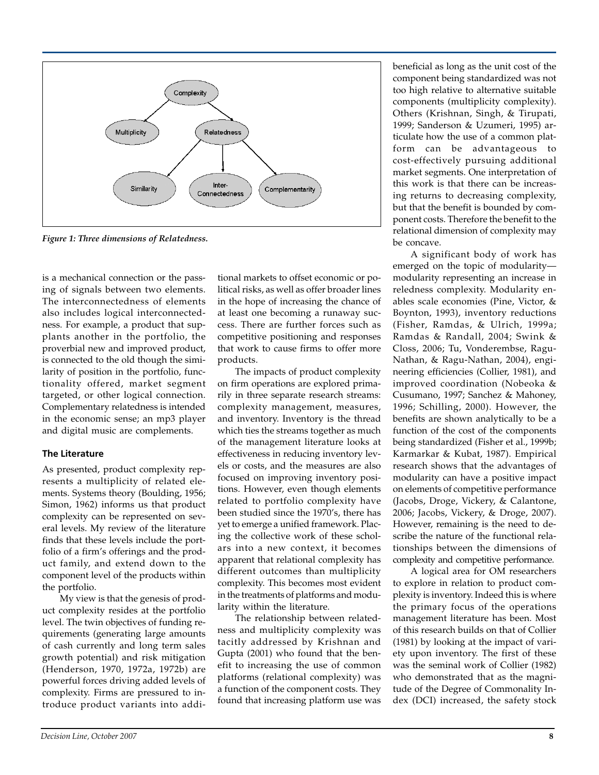

*Figure 1: Three dimensions of Relatedness.*

is a mechanical connection or the passing of signals between two elements. The interconnectedness of elements also includes logical interconnectedness. For example, a product that supplants another in the portfolio, the proverbial new and improved product, is connected to the old though the similarity of position in the portfolio, functionality offered, market segment targeted, or other logical connection. Complementary relatedness is intended in the economic sense; an mp3 player and digital music are complements.

#### **The Literature**

As presented, product complexity represents a multiplicity of related elements. Systems theory (Boulding, 1956; Simon, 1962) informs us that product complexity can be represented on several levels. My review of the literature finds that these levels include the portfolio of a firm's offerings and the product family, and extend down to the component level of the products within the portfolio.

My view is that the genesis of product complexity resides at the portfolio level. The twin objectives of funding requirements (generating large amounts of cash currently and long term sales growth potential) and risk mitigation (Henderson, 1970, 1972a, 1972b) are powerful forces driving added levels of complexity. Firms are pressured to introduce product variants into additional markets to offset economic or political risks, as well as offer broader lines in the hope of increasing the chance of at least one becoming a runaway success. There are further forces such as competitive positioning and responses that work to cause firms to offer more products.

The impacts of product complexity on firm operations are explored primarily in three separate research streams: complexity management, measures, and inventory. Inventory is the thread which ties the streams together as much of the management literature looks at effectiveness in reducing inventory levels or costs, and the measures are also focused on improving inventory positions. However, even though elements related to portfolio complexity have been studied since the 1970's, there has yet to emerge a unified framework. Placing the collective work of these scholars into a new context, it becomes apparent that relational complexity has different outcomes than multiplicity complexity. This becomes most evident in the treatments of platforms and modularity within the literature.

The relationship between relatedness and multiplicity complexity was tacitly addressed by Krishnan and Gupta (2001) who found that the benefit to increasing the use of common platforms (relational complexity) was a function of the component costs. They found that increasing platform use was

beneficial as long as the unit cost of the component being standardized was not too high relative to alternative suitable components (multiplicity complexity). Others (Krishnan, Singh, & Tirupati, 1999; Sanderson & Uzumeri, 1995) articulate how the use of a common platform can be advantageous to cost-effectively pursuing additional market segments. One interpretation of this work is that there can be increasing returns to decreasing complexity, but that the benefit is bounded by component costs. Therefore the benefit to the relational dimension of complexity may be concave.

A significant body of work has emerged on the topic of modularity modularity representing an increase in reledness complexity. Modularity enables scale economies (Pine, Victor, & Boynton, 1993), inventory reductions (Fisher, Ramdas, & Ulrich, 1999a; Ramdas & Randall, 2004; Swink & Closs, 2006; Tu, Vonderembse, Ragu-Nathan, & Ragu-Nathan, 2004), engineering efficiencies (Collier, 1981), and improved coordination (Nobeoka & Cusumano, 1997; Sanchez & Mahoney, 1996; Schilling, 2000). However, the benefits are shown analytically to be a function of the cost of the components being standardized (Fisher et al., 1999b; Karmarkar & Kubat, 1987). Empirical research shows that the advantages of modularity can have a positive impact on elements of competitive performance (Jacobs, Droge, Vickery, & Calantone, 2006; Jacobs, Vickery, & Droge, 2007). However, remaining is the need to describe the nature of the functional relationships between the dimensions of complexity and competitive performance.

A logical area for OM researchers to explore in relation to product complexity is inventory. Indeed this is where the primary focus of the operations management literature has been. Most of this research builds on that of Collier (1981) by looking at the impact of variety upon inventory. The first of these was the seminal work of Collier (1982) who demonstrated that as the magnitude of the Degree of Commonality Index (DCI) increased, the safety stock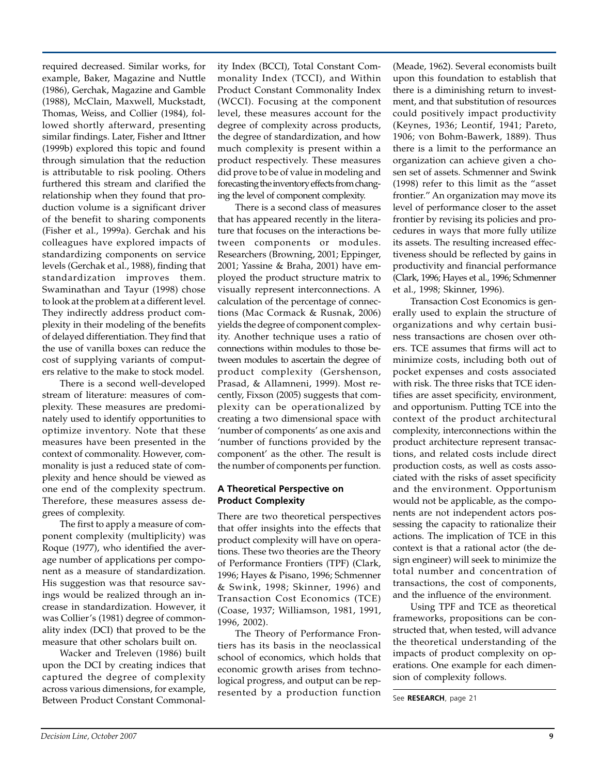required decreased. Similar works, for example, Baker, Magazine and Nuttle (1986), Gerchak, Magazine and Gamble (1988), McClain, Maxwell, Muckstadt, Thomas, Weiss, and Collier (1984), followed shortly afterward, presenting similar findings. Later, Fisher and Ittner (1999b) explored this topic and found through simulation that the reduction is attributable to risk pooling. Others furthered this stream and clarified the relationship when they found that production volume is a significant driver of the benefit to sharing components (Fisher et al., 1999a). Gerchak and his colleagues have explored impacts of standardizing components on service levels (Gerchak et al., 1988), finding that standardization improves them. Swaminathan and Tayur (1998) chose to look at the problem at a different level. They indirectly address product complexity in their modeling of the benefits of delayed differentiation. They find that the use of vanilla boxes can reduce the cost of supplying variants of computers relative to the make to stock model.

There is a second well-developed stream of literature: measures of complexity. These measures are predominately used to identify opportunities to optimize inventory. Note that these measures have been presented in the context of commonality. However, commonality is just a reduced state of complexity and hence should be viewed as one end of the complexity spectrum. Therefore, these measures assess degrees of complexity.

The first to apply a measure of component complexity (multiplicity) was Roque (1977), who identified the average number of applications per component as a measure of standardization. His suggestion was that resource savings would be realized through an increase in standardization. However, it was Collier's (1981) degree of commonality index (DCI) that proved to be the measure that other scholars built on.

Wacker and Treleven (1986) built upon the DCI by creating indices that captured the degree of complexity across various dimensions, for example, Between Product Constant Commonality Index (BCCI), Total Constant Commonality Index (TCCI), and Within Product Constant Commonality Index (WCCI). Focusing at the component level, these measures account for the degree of complexity across products, the degree of standardization, and how much complexity is present within a product respectively. These measures did prove to be of value in modeling and forecasting the inventory effects from changing the level of component complexity.

There is a second class of measures that has appeared recently in the literature that focuses on the interactions between components or modules. Researchers (Browning, 2001; Eppinger, 2001; Yassine & Braha, 2001) have employed the product structure matrix to visually represent interconnections. A calculation of the percentage of connections (Mac Cormack & Rusnak, 2006) yields the degree of component complexity. Another technique uses a ratio of connections within modules to those between modules to ascertain the degree of product complexity (Gershenson, Prasad, & Allamneni, 1999). Most recently, Fixson (2005) suggests that complexity can be operationalized by creating a two dimensional space with 'number of components' as one axis and 'number of functions provided by the component' as the other. The result is the number of components per function.

#### **A Theoretical Perspective on Product Complexity**

There are two theoretical perspectives that offer insights into the effects that product complexity will have on operations. These two theories are the Theory of Performance Frontiers (TPF) (Clark, 1996; Hayes & Pisano, 1996; Schmenner & Swink, 1998; Skinner, 1996) and Transaction Cost Economics (TCE) (Coase, 1937; Williamson, 1981, 1991, 1996, 2002).

The Theory of Performance Frontiers has its basis in the neoclassical school of economics, which holds that economic growth arises from technological progress, and output can be represented by a production function

(Meade, 1962). Several economists built upon this foundation to establish that there is a diminishing return to investment, and that substitution of resources could positively impact productivity (Keynes, 1936; Leontif, 1941; Pareto, 1906; von Bohm-Bawerk, 1889). Thus there is a limit to the performance an organization can achieve given a chosen set of assets. Schmenner and Swink (1998) refer to this limit as the "asset frontier." An organization may move its level of performance closer to the asset frontier by revising its policies and procedures in ways that more fully utilize its assets. The resulting increased effectiveness should be reflected by gains in productivity and financial performance (Clark, 1996; Hayes et al., 1996; Schmenner et al., 1998; Skinner, 1996).

Transaction Cost Economics is generally used to explain the structure of organizations and why certain business transactions are chosen over others. TCE assumes that firms will act to minimize costs, including both out of pocket expenses and costs associated with risk. The three risks that TCE identifies are asset specificity, environment, and opportunism. Putting TCE into the context of the product architectural complexity, interconnections within the product architecture represent transactions, and related costs include direct production costs, as well as costs associated with the risks of asset specificity and the environment. Opportunism would not be applicable, as the components are not independent actors possessing the capacity to rationalize their actions. The implication of TCE in this context is that a rational actor (the design engineer) will seek to minimize the total number and concentration of transactions, the cost of components, and the influence of the environment.

Using TPF and TCE as theoretical frameworks, propositions can be constructed that, when tested, will advance the theoretical understanding of the impacts of product complexity on operations. One example for each dimension of complexity follows.

See **RESEARCH**, page 21